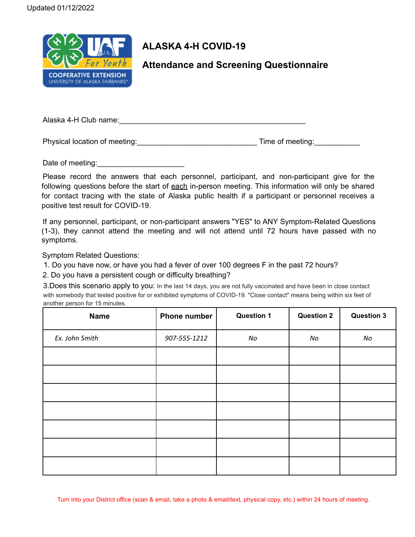

## **ALASKA 4-H COVID-19**

**Attendance and Screening Questionnaire**

Alaska 4-H Club name:

Physical location of meeting: example and the Time of meeting:

Date of meeting:

Please record the answers that each personnel, participant, and non-participant give for the following questions before the start of each in-person meeting. This information will only be shared for contact tracing with the state of Alaska public health if a participant or personnel receives a positive test result for COVID-19.

If any personnel, participant, or non-participant answers "YES" to ANY Symptom-Related Questions (1-3), they cannot attend the meeting and will not attend until 72 hours have passed with no symptoms.

Symptom Related Questions:

1. Do you have now, or have you had a fever of over 100 degrees F in the past 72 hours?

2. Do you have a persistent cough or difficulty breathing?

3.Does this scenario apply to you: In the last 14 days, you are not fully vaccinated and have been in close contact with somebody that tested positive for or exhibited symptoms of COVID-19. "Close contact" means being within six feet of another person for 15 minutes.

| <b>Name</b>    | <b>Phone number</b> | <b>Question 1</b> | <b>Question 2</b> | <b>Question 3</b> |
|----------------|---------------------|-------------------|-------------------|-------------------|
| Ex. John Smith | 907-555-1212        | No                | No                | No                |
|                |                     |                   |                   |                   |
|                |                     |                   |                   |                   |
|                |                     |                   |                   |                   |
|                |                     |                   |                   |                   |
|                |                     |                   |                   |                   |
|                |                     |                   |                   |                   |
|                |                     |                   |                   |                   |

Turn into your District office (scan & email, take a photo & email/text, physical copy, etc.) within 24 hours of meeting.